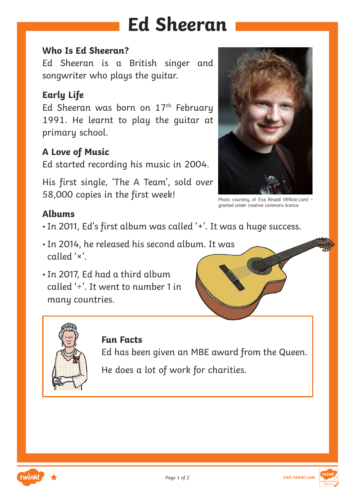# **Ed Sheeran**

#### **Who Is Ed Sheeran?**

Ed Sheeran is a British singer and songwriter who plays the guitar.

### **Early Life**

Ed Sheeran was born on 17<sup>th</sup> February 1991. He learnt to play the guitar at primary school.

### **A Love of Music**

Ed started recording his music in 2004.

His first single, 'The A Team', sold over 58,000 copies in the first week!



Photo courtesy of Eva Rinaldi (@flickr.com) granted under creative commons licence

### **Albums**

- •In 2011, Ed's first album was called '+'. It was a huge success.
- •In 2014, he released his second album. It was called '×'.
- •In 2017, Ed had a third album called '÷'. It went to number 1 in many countries.





### **Fun Facts**

Ed has been given an MBE award from the Queen.

He does a lot of work for charities.

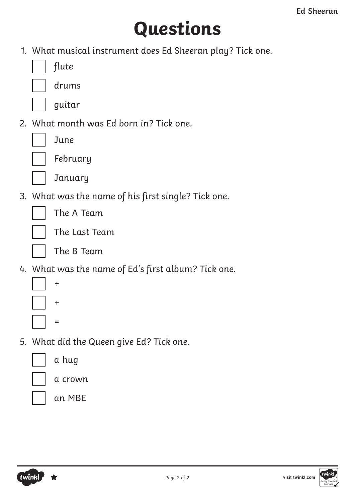# **Questions**

1. What musical instrument does Ed Sheeran play? Tick one.

flute

drums

guitar

2. What month was Ed born in? Tick one.

June

| February |
|----------|
|----------|

**January** 

3. What was the name of his first single? Tick one.

The A Team



The Last Team

The B Team

4. What was the name of Ed's first album? Tick one.



5. What did the Queen give Ed? Tick one.

|  | a hug |
|--|-------|
|  |       |

a crown

an MBE

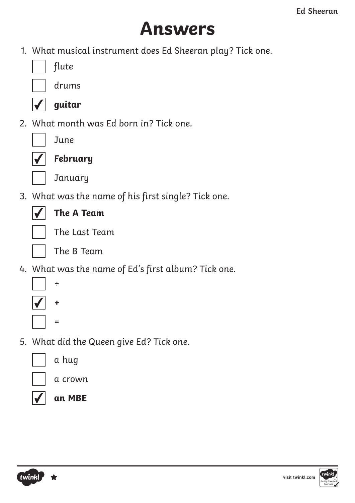## **Answers**

1. What musical instrument does Ed Sheeran play? Tick one.

| flute |
|-------|
|-------|

drums



**guitar**

2. What month was Ed born in? Tick one.

June



**February**



**January** 

3. What was the name of his first single? Tick one.

### **The A Team**



The Last Team

The B Team

4. What was the name of Ed's first album? Tick one.



5. What did the Queen give Ed? Tick one.



a hug



a crown



**an MBE**



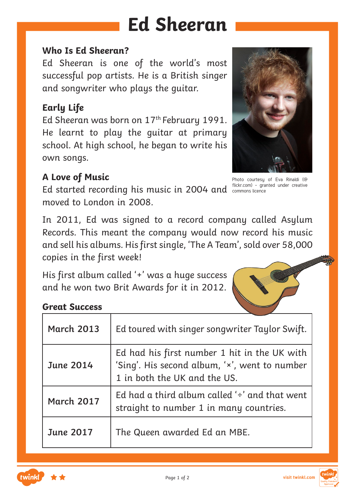# **Ed Sheeran**

#### **Who Is Ed Sheeran?**

Ed Sheeran is one of the world's most successful pop artists. He is a British singer and songwriter who plays the guitar.

### **Early Life**

Ed Sheeran was born on 17th February 1991. He learnt to play the guitar at primary school. At high school, he began to write his own songs.

### **A Love of Music**

Ed started recording his music in 2004 and flickr.com) - granted under creative moved to London in 2008.



Photo courtesy of Eva Rinaldi (@ commons licence

In 2011, Ed was signed to a record company called Asylum Records. This meant the company would now record his music and sell his albums. His first single, 'The A Team', sold over 58,000 copies in the first week!

His first album called '+' was a huge success and he won two Brit Awards for it in 2012.



### **Great Success**

| <b>March 2013</b> | Ed toured with singer songwriter Taylor Swift.                                                                                |
|-------------------|-------------------------------------------------------------------------------------------------------------------------------|
| <b>June 2014</b>  | Ed had his first number 1 hit in the UK with<br>'Sing'. His second album, 'x', went to number<br>1 in both the UK and the US. |
| <b>March 2017</b> | Ed had a third album called $\div$ and that went<br>straight to number 1 in many countries.                                   |
| <b>June 2017</b>  | The Queen awarded Ed an MBE.                                                                                                  |

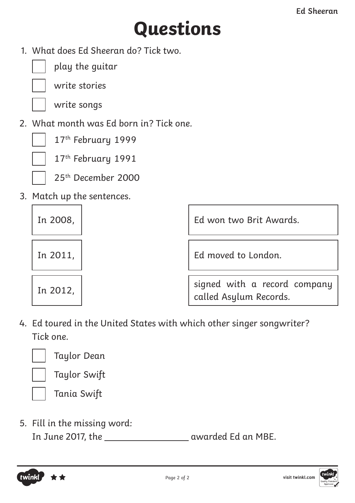# **Questions**

1. What does Ed Sheeran do? Tick two.



play the guitar



write stories

write songs

2. What month was Ed born in? Tick one.



17th February 1999 17<sup>th</sup> February 1991



25th December 2000

3. Match up the sentences.

| In 2008, | Ed won two Brit Awards.                                |  |
|----------|--------------------------------------------------------|--|
| In 2011, | Ed moved to London.                                    |  |
| In 2012, | signed with a record company<br>called Asylum Records. |  |

4. Ed toured in the United States with which other singer songwriter? Tick one.



twinkl

Taylor Dean

Taylor Swift

Tania Swift

5. Fill in the missing word: In June 2017, the **contract and September 2017**, the awarded Ed an MBE.

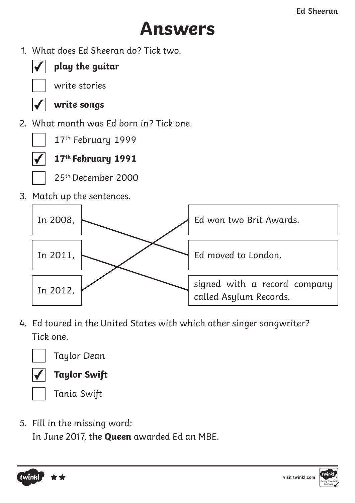## **Answers**

1. What does Ed Sheeran do? Tick two.



### **play the guitar**

write stories

### **write songs**

2. What month was Ed born in? Tick one.



17th February 1999



**17th February 1991**



25th December 2000

3. Match up the sentences.



4. Ed toured in the United States with which other singer songwriter? Tick one.



Taylor Dean



**Taylor Swift**

Tania Swift

5. Fill in the missing word:

In June 2017, the **Queen** awarded Ed an MBE.



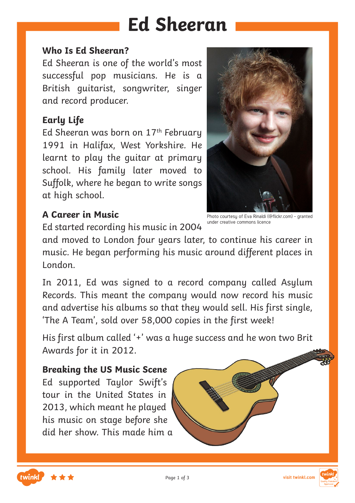## **Ed Sheeran**

#### **Who Is Ed Sheeran?**

Ed Sheeran is one of the world's most successful pop musicians. He is a British guitarist, songwriter, singer and record producer.

### **Early Life**

Ed Sheeran was born on  $17<sup>th</sup>$  February 1991 in Halifax, West Yorkshire. He learnt to play the guitar at primary school. His family later moved to Suffolk, where he began to write songs at high school.

### **A Career in Music**

Ed started recording his music in 2004

and moved to London four years later, to continue his career in music. He began performing his music around different places in London.

In 2011, Ed was signed to a record company called Asylum Records. This meant the company would now record his music and advertise his albums so that they would sell. His first single, 'The A Team', sold over 58,000 copies in the first week!

His first album called '+' was a huge success and he won two Brit Awards for it in 2012.

#### **Breaking the US Music Scene**

Ed supported Taylor Swift's tour in the United States in 2013, which meant he played his music on stage before she did her show. This made him a

twinkl

Photo courtesy of Eva Rinaldi (@flickr.com) - granted under creative commons licence



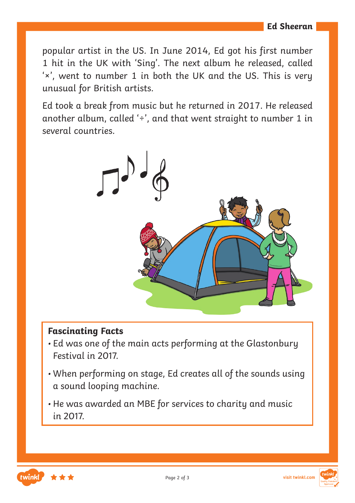popular artist in the US. In June 2014, Ed got his first number 1 hit in the UK with 'Sing'. The next album he released, called '×', went to number 1 in both the UK and the US. This is very unusual for British artists.

Ed took a break from music but he returned in 2017. He released another album, called '÷', and that went straight to number 1 in several countries.



### **Fascinating Facts**

- Ed was one of the main acts performing at the Glastonbury Festival in 2017.
- When performing on stage, Ed creates all of the sounds using a sound looping machine.
- He was awarded an MBE for services to charity and music in 2017.



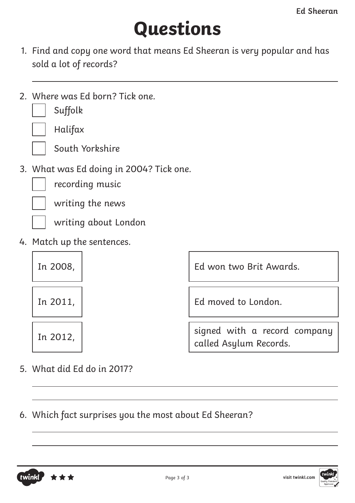# **Questions**

- 1. Find and copy one word that means Ed Sheeran is very popular and has sold a lot of records?
- 2. Where was Ed born? Tick one.



Halifax

South Yorkshire

3. What was Ed doing in 2004? Tick one.

recording music

writing the news



writing about London

4. Match up the sentences.



In 2008, Ed won two Brit Awards.

In 2011, Ed moved to London.

In 2012,  $\begin{vmatrix} \text{sin} \theta & \text{sin} \theta \\ \text{sin} \theta & \text{sin} \theta \end{vmatrix}$  company called Asylum Records.

5. What did Ed do in 2017?

6. Which fact surprises you the most about Ed Sheeran?